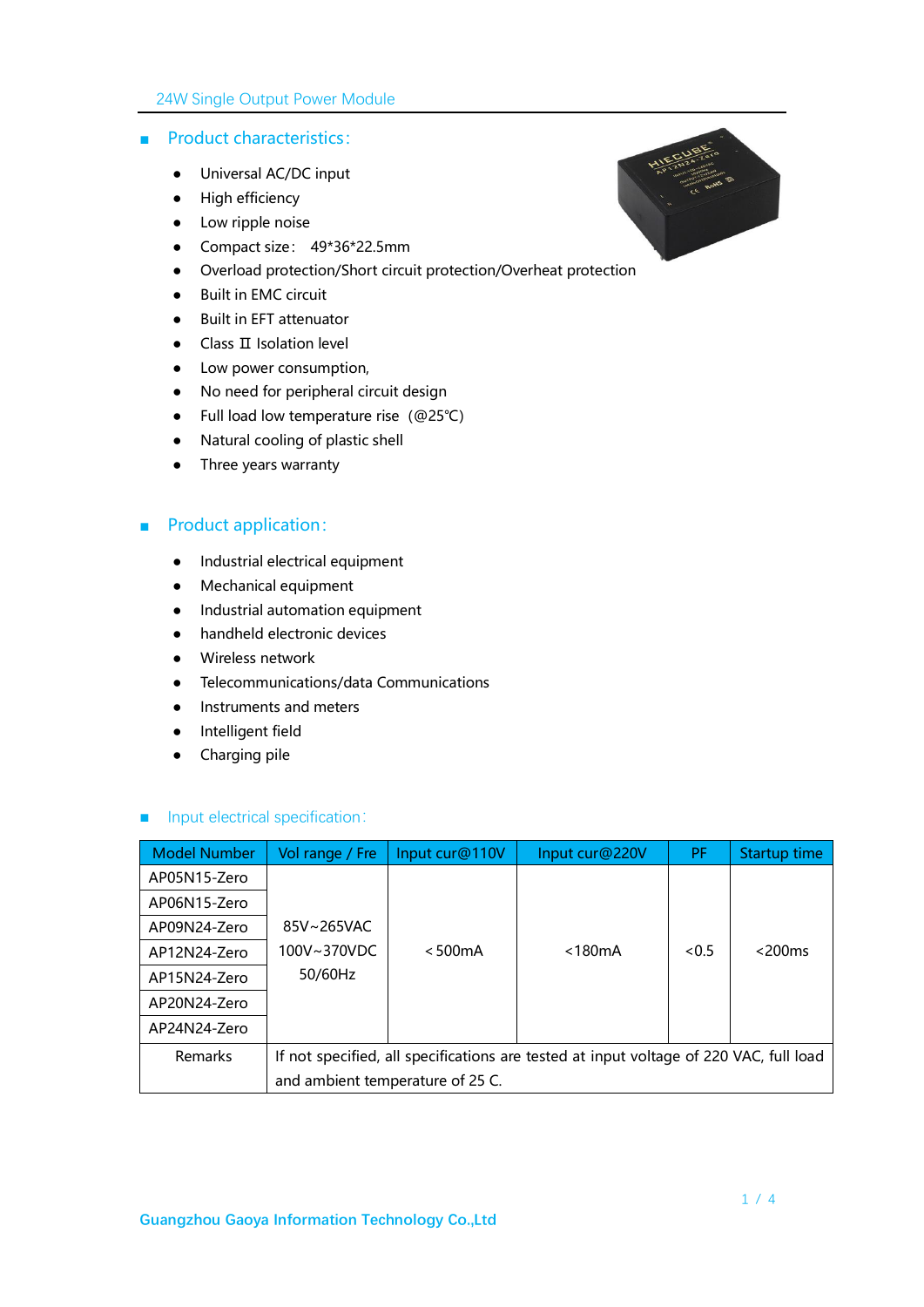#### 24W Single Output Power Module

#### ■ Product characteristics:

- Universal AC/DC input
- High efficiency
- Low ripple noise
- Compact size: 49\*36\*22.5mm
- Overload protection/Short circuit protection/Overheat protection
- Built in EMC circuit
- Built in EFT attenuator
- Class II Isolation level
- Low power consumption,
- No need for peripheral circuit design
- Full load low temperature rise(@25℃)
- Natural cooling of plastic shell
- Three years warranty

### ■ Product application:

- Industrial electrical equipment
- Mechanical equipment
- Industrial automation equipment
- handheld electronic devices
- Wireless network
- Telecommunications/data Communications
- Instruments and meters
- Intelligent field
- Charging pile

#### ■ Input electrical specification:

| <b>Model Number</b> | Vol range / Fre                                                                        | Input cur@110V | Input cur@220V | PF   | Startup time |
|---------------------|----------------------------------------------------------------------------------------|----------------|----------------|------|--------------|
| AP05N15-Zero        |                                                                                        |                |                |      |              |
| AP06N15-Zero        |                                                                                        |                |                |      |              |
| AP09N24-Zero        | 85V~265VAC                                                                             |                |                |      |              |
| AP12N24-Zero        | 100V~370VDC                                                                            | $< 500$ m $A$  | $<$ 180 $mA$   | <0.5 | $<$ 200 $ms$ |
| AP15N24-Zero        | 50/60Hz                                                                                |                |                |      |              |
| AP20N24-Zero        |                                                                                        |                |                |      |              |
| AP24N24-Zero        |                                                                                        |                |                |      |              |
| <b>Remarks</b>      | If not specified, all specifications are tested at input voltage of 220 VAC, full load |                |                |      |              |
|                     | and ambient temperature of 25 C.                                                       |                |                |      |              |

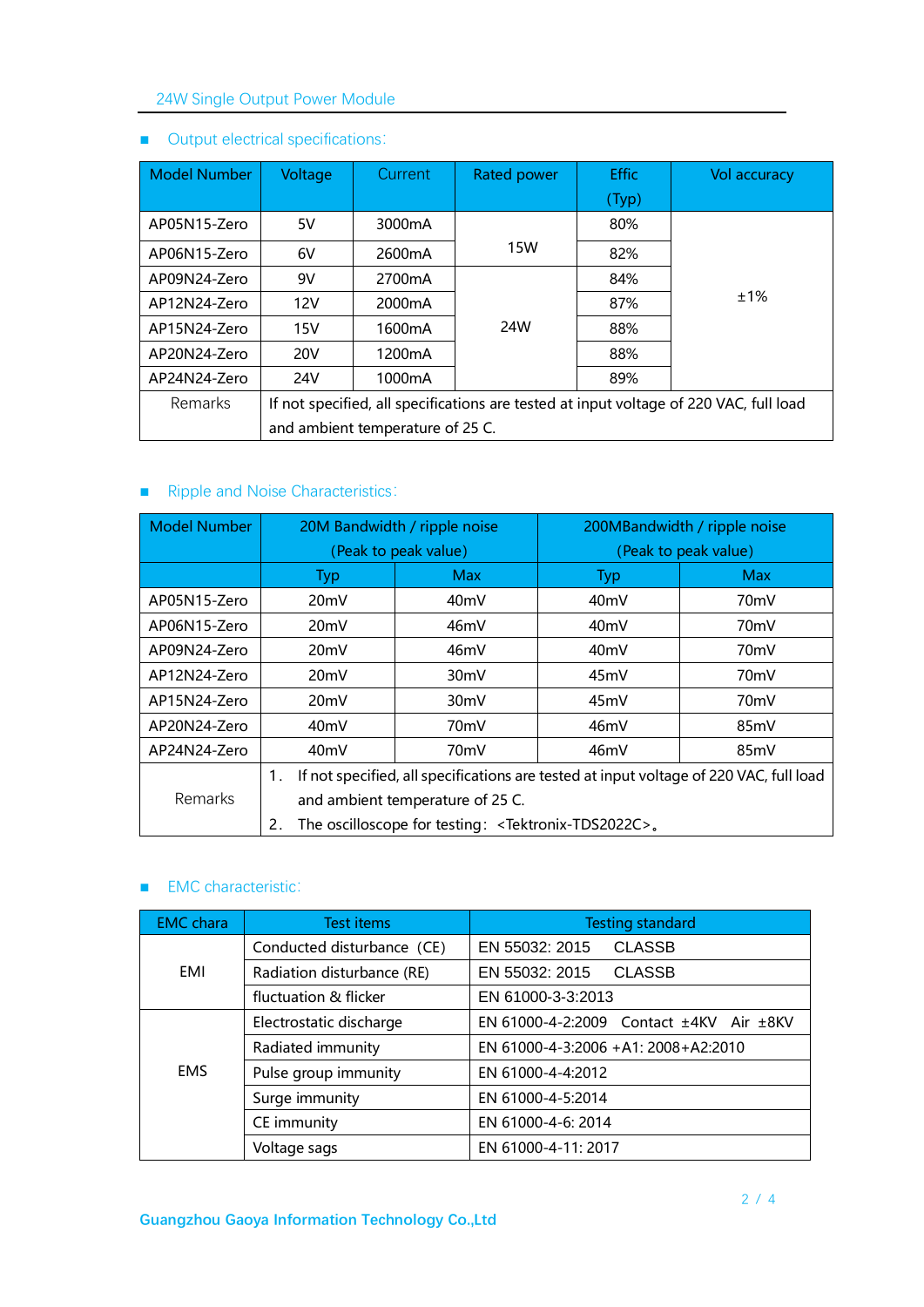# 24W Single Output Power Module

| <b>Model Number</b> | Voltage                                                                                | Current             | Rated power | <b>Effic</b> | <b>Vol accuracy</b> |
|---------------------|----------------------------------------------------------------------------------------|---------------------|-------------|--------------|---------------------|
|                     |                                                                                        |                     |             | (Typ)        |                     |
| AP05N15-Zero        | 5V                                                                                     | 3000mA              |             | 80%          |                     |
| AP06N15-Zero        | 6V                                                                                     | 2600mA              | 15W         | 82%          |                     |
| AP09N24-Zero        | 9V                                                                                     | 2700 <sub>m</sub> A |             | 84%          |                     |
| AP12N24-Zero        | 12V                                                                                    | 2000 <sub>m</sub> A |             | 87%          | ±1%                 |
| AP15N24-Zero        | 15V                                                                                    | 1600 <sub>m</sub> A | 24W         | 88%          |                     |
| AP20N24-Zero        | <b>20V</b>                                                                             | 1200 <sub>m</sub> A |             | 88%          |                     |
| AP24N24-Zero        | 24V                                                                                    | 1000mA              |             | 89%          |                     |
| <b>Remarks</b>      | If not specified, all specifications are tested at input voltage of 220 VAC, full load |                     |             |              |                     |
|                     | and ambient temperature of 25 C.                                                       |                     |             |              |                     |

# ■ Output electrical specifications:

# ■ Ripple and Noise Characteristics:

| <b>Model Number</b>                                | 20M Bandwidth / ripple noise                                                                 |                   | 200MBandwidth / ripple noise |                   |  |
|----------------------------------------------------|----------------------------------------------------------------------------------------------|-------------------|------------------------------|-------------------|--|
|                                                    | (Peak to peak value)                                                                         |                   | (Peak to peak value)         |                   |  |
|                                                    | <b>Typ</b>                                                                                   | <b>Max</b>        | <b>Typ</b>                   | <b>Max</b>        |  |
| AP05N15-Zero                                       | 20 <sub>m</sub> V                                                                            | 40 <sub>m</sub> V | 40 <sub>mV</sub>             | 70 <sub>m</sub> V |  |
| AP06N15-Zero                                       | 20 <sub>m</sub> V                                                                            | 46mV              | 40 <sub>m</sub> V            | 70 <sub>m</sub> V |  |
| AP09N24-Zero                                       | 20mV                                                                                         | 46mV              | 40 <sub>m</sub> V            | 70 <sub>m</sub> V |  |
| AP12N24-Zero                                       | 20 <sub>m</sub> V                                                                            | 30 <sub>m</sub> V | 45mV                         | 70 <sub>m</sub> V |  |
| AP15N24-Zero                                       | 20 <sub>m</sub> V                                                                            | 30 <sub>mV</sub>  | 45mV                         | 70 <sub>m</sub> V |  |
| AP20N24-Zero                                       | 40 <sub>m</sub> V                                                                            | 70mV              | 46mV                         | 85mV              |  |
| AP24N24-Zero                                       | 40 <sub>m</sub> V                                                                            | 70 <sub>m</sub> V | 46mV                         | 85mV              |  |
|                                                    | If not specified, all specifications are tested at input voltage of 220 VAC, full load<br>1. |                   |                              |                   |  |
| <b>Remarks</b><br>and ambient temperature of 25 C. |                                                                                              |                   |                              |                   |  |
|                                                    | The oscilloscope for testing: <tektronix-tds2022c>.<br/>2.</tektronix-tds2022c>              |                   |                              |                   |  |

#### ■ EMC characteristic:

| <b>EMC</b> chara | <b>Test items</b>          | <b>Testing standard</b>                           |  |  |  |
|------------------|----------------------------|---------------------------------------------------|--|--|--|
|                  | Conducted disturbance (CE) | <b>CLASSB</b><br>EN 55032: 2015                   |  |  |  |
| EMI              | Radiation disturbance (RE) | EN 55032: 2015<br><b>CLASSB</b>                   |  |  |  |
|                  | fluctuation & flicker      | EN 61000-3-3:2013                                 |  |  |  |
|                  | Electrostatic discharge    | EN 61000-4-2:2009 Contact $\pm$ 4KV Air $\pm$ 8KV |  |  |  |
| <b>EMS</b>       | Radiated immunity          | EN 61000-4-3:2006 +A1: 2008+A2:2010               |  |  |  |
|                  | Pulse group immunity       | EN 61000-4-4:2012                                 |  |  |  |
|                  | Surge immunity             | EN 61000-4-5:2014                                 |  |  |  |
|                  | CE immunity                | EN 61000-4-6: 2014                                |  |  |  |
|                  | Voltage sags               | EN 61000-4-11: 2017                               |  |  |  |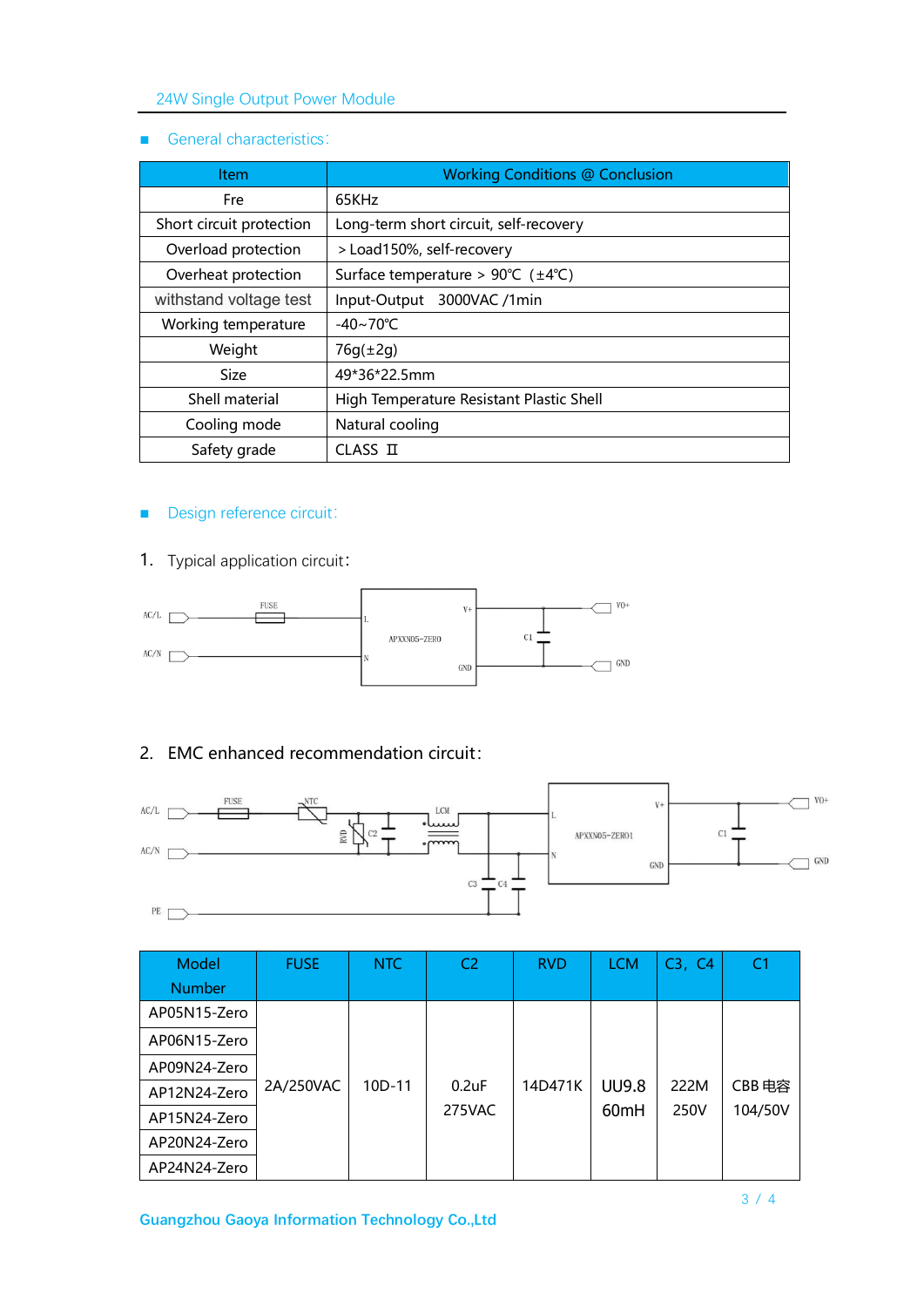### 24W Single Output Power Module

### ■ General characteristics:

| <b>Item</b>              | <b>Working Conditions @ Conclusion</b>                   |  |  |  |
|--------------------------|----------------------------------------------------------|--|--|--|
| Fre                      | 65KHz                                                    |  |  |  |
| Short circuit protection | Long-term short circuit, self-recovery                   |  |  |  |
| Overload protection      | > Load150%, self-recovery                                |  |  |  |
| Overheat protection      | Surface temperature > $90^{\circ}C$ ( $\pm 4^{\circ}C$ ) |  |  |  |
| withstand voltage test   | Input-Output 3000VAC /1min                               |  |  |  |
| Working temperature      | $-40 \sim 70^{\circ}$ C                                  |  |  |  |
| Weight                   | $76q(\pm 2q)$                                            |  |  |  |
| <b>Size</b>              | 49*36*22.5mm                                             |  |  |  |
| Shell material           | High Temperature Resistant Plastic Shell                 |  |  |  |
| Cooling mode             | Natural cooling                                          |  |  |  |
| Safety grade             | $CLASS$ $\Pi$                                            |  |  |  |

### ■ Design reference circuit:

1. Typical application circuit:



# 2. EMC enhanced recommendation circuit:



| Model<br><b>Number</b> | <b>FUSE</b> | <b>NTC</b> | C <sub>2</sub> | <b>RVD</b> | <b>LCM</b>       | C3, C4 | C <sub>1</sub> |
|------------------------|-------------|------------|----------------|------------|------------------|--------|----------------|
| AP05N15-Zero           |             |            |                |            |                  |        |                |
| AP06N15-Zero           |             |            |                |            |                  |        |                |
| AP09N24-Zero           |             |            |                |            |                  |        |                |
| AP12N24-Zero           | 2A/250VAC   | 10D-11     | $0.2$ uF       | 14D471K    | <b>UU9.8</b>     | 222M   | CBB 电容         |
| AP15N24-Zero           |             |            | 275VAC         |            | 60 <sub>mH</sub> | 250V   | 104/50V        |
| AP20N24-Zero           |             |            |                |            |                  |        |                |
| AP24N24-Zero           |             |            |                |            |                  |        |                |